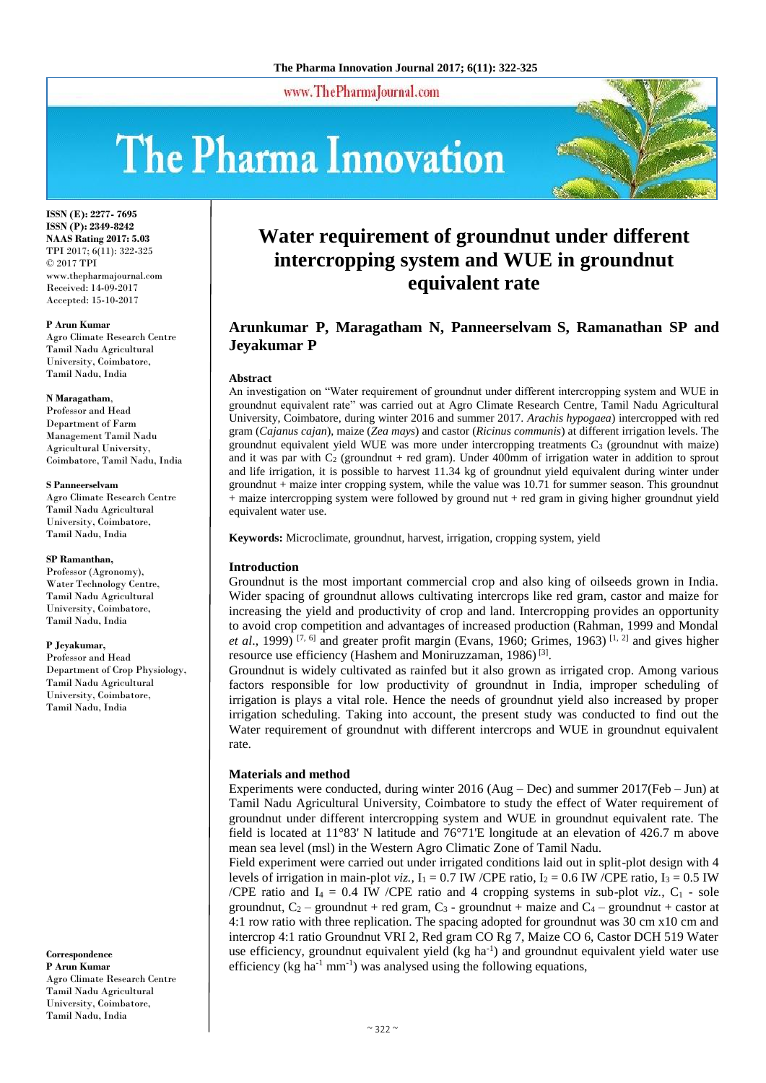www.ThePharmaJournal.com

# The Pharma Innovation



**ISSN (E): 2277- 7695 ISSN (P): 2349-8242 NAAS Rating 2017: 5.03** TPI 2017; 6(11): 322-325 © 2017 TPI www.thepharmajournal.com Received: 14-09-2017 Accepted: 15-10-2017

#### **P Arun Kumar**

Agro Climate Research Centre Tamil Nadu Agricultural University, Coimbatore, Tamil Nadu, India

#### **N Maragatham**,

Professor and Head Department of Farm Management Tamil Nadu Agricultural University, Coimbatore, Tamil Nadu, India

#### **S Panneerselvam**

Agro Climate Research Centre Tamil Nadu Agricultural University, Coimbatore, Tamil Nadu, India

#### **SP Ramanthan,**

Professor (Agronomy), Water Technology Centre, Tamil Nadu Agricultural University, Coimbatore, Tamil Nadu, India

#### **P Jeyakumar,**

Professor and Head Department of Crop Physiology, Tamil Nadu Agricultural University, Coimbatore, Tamil Nadu, India

**Correspondence P Arun Kumar** Agro Climate Research Centre Tamil Nadu Agricultural University, Coimbatore, Tamil Nadu, India

# **Water requirement of groundnut under different intercropping system and WUE in groundnut equivalent rate**

# **Arunkumar P, Maragatham N, Panneerselvam S, Ramanathan SP and Jeyakumar P**

#### **Abstract**

An investigation on "Water requirement of groundnut under different intercropping system and WUE in groundnut equivalent rate" was carried out at Agro Climate Research Centre, Tamil Nadu Agricultural University, Coimbatore, during winter 2016 and summer 2017. *Arachis hypogaea*) intercropped with red gram (*Cajanus cajan*), maize (*Zea mays*) and castor (*Ricinus communis*) at different irrigation levels. The groundnut equivalent yield WUE was more under intercropping treatments  $C_3$  (groundnut with maize) and it was par with  $C_2$  (groundnut + red gram). Under 400mm of irrigation water in addition to sprout and life irrigation, it is possible to harvest 11.34 kg of groundnut yield equivalent during winter under groundnut + maize inter cropping system, while the value was 10.71 for summer season. This groundnut + maize intercropping system were followed by ground nut + red gram in giving higher groundnut yield equivalent water use.

**Keywords:** Microclimate, groundnut, harvest, irrigation, cropping system, yield

#### **Introduction**

Groundnut is the most important commercial crop and also king of oilseeds grown in India. Wider spacing of groundnut allows cultivating intercrops like red gram, castor and maize for increasing the yield and productivity of crop and land. Intercropping provides an opportunity to avoid crop competition and advantages of increased production (Rahman, 1999 and Mondal *et al.*, 1999) <sup>[7, 6]</sup> and greater profit margin (Evans, 1960; Grimes, 1963) <sup>[1, 2]</sup> and gives higher resource use efficiency (Hashem and Moniruzzaman, 1986)<sup>[3]</sup>.

Groundnut is widely cultivated as rainfed but it also grown as irrigated crop. Among various factors responsible for low productivity of groundnut in India, improper scheduling of irrigation is plays a vital role. Hence the needs of groundnut yield also increased by proper irrigation scheduling. Taking into account, the present study was conducted to find out the Water requirement of groundnut with different intercrops and WUE in groundnut equivalent rate.

# **Materials and method**

Experiments were conducted, during winter 2016 (Aug – Dec) and summer 2017(Feb – Jun) at Tamil Nadu Agricultural University, Coimbatore to study the effect of Water requirement of groundnut under different intercropping system and WUE in groundnut equivalent rate. The field is located at 11°83' N latitude and 76°71'E longitude at an elevation of 426.7 m above mean sea level (msl) in the Western Agro Climatic Zone of Tamil Nadu.

Field experiment were carried out under irrigated conditions laid out in split-plot design with 4 levels of irrigation in main-plot *viz.*,  $I_1 = 0.7$  IW /CPE ratio,  $I_2 = 0.6$  IW /CPE ratio,  $I_3 = 0.5$  IW /CPE ratio and  $I_4 = 0.4$  IW /CPE ratio and 4 cropping systems in sub-plot *viz.*,  $C_1$  - sole groundnut,  $C_2$  – groundnut + red gram,  $C_3$  - groundnut + maize and  $C_4$  – groundnut + castor at 4:1 row ratio with three replication. The spacing adopted for groundnut was 30 cm x10 cm and intercrop 4:1 ratio Groundnut VRI 2, Red gram CO Rg 7, Maize CO 6, Castor DCH 519 Water use efficiency, groundnut equivalent yield (kg ha<sup>-1</sup>) and groundnut equivalent yield water use efficiency ( $kg \text{ ha}^{-1} \text{ mm}^{-1}$ ) was analysed using the following equations,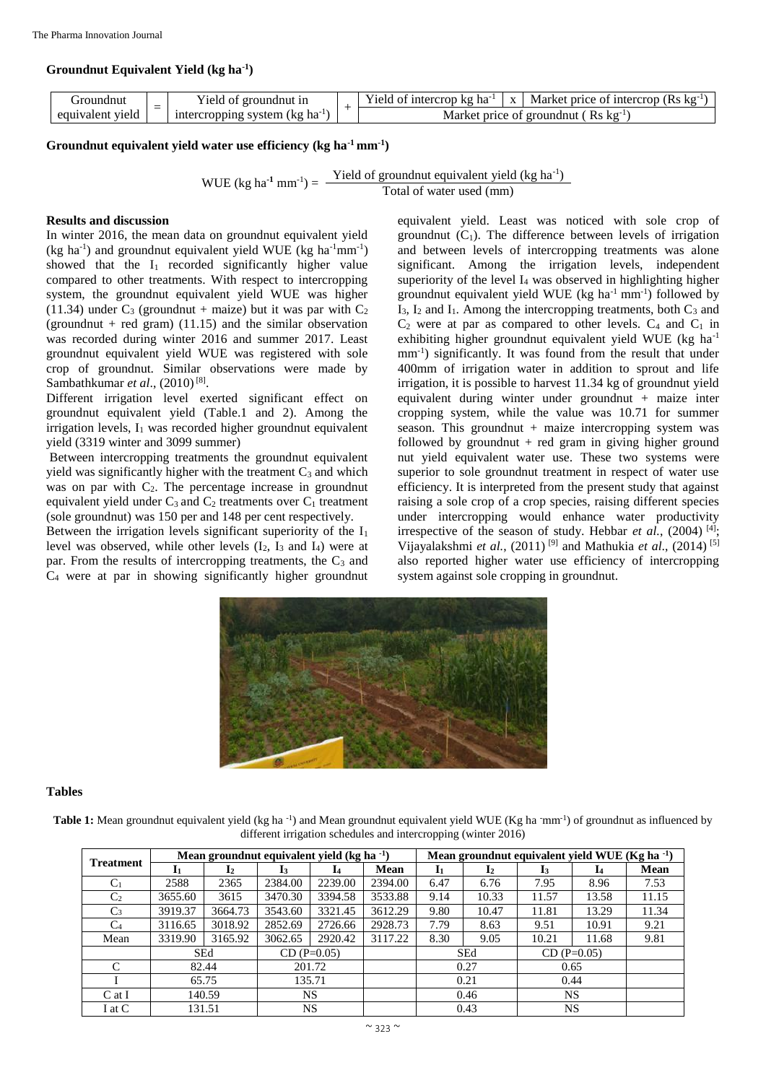# **Groundnut Equivalent Yield (kg ha-1 )**

| . roundnut          | 'ield<br>-groundnut in<br>ΟĪ      |                 | ntercrop kg ha<br>Yield of L | X                    | (Rs kg<br>Market<br>t price of intercrop |
|---------------------|-----------------------------------|-----------------|------------------------------|----------------------|------------------------------------------|
| viela<br>equivalent | ha<br>(kg<br>intercropping system | price<br>Market | ⊹ot                          | Ks kg<br>. groundnut |                                          |

# **Groundnut equivalent yield water use efficiency (kg ha-1 mm-1 )**

WUE (kg ha<sup>-1</sup> mm<sup>-1</sup>) =  $\frac{\text{Yield of groundnut equivalent yield (kg ha^{-1})}}{\text{Total of ground (cm))}}$ Total of water used (mm)

## **Results and discussion**

In winter 2016, the mean data on groundnut equivalent yield  $(kg \text{ ha}^{-1})$  and groundnut equivalent yield WUE (kg ha<sup>-1</sup>mm<sup>-1</sup>) showed that the  $I_1$  recorded significantly higher value compared to other treatments. With respect to intercropping system, the groundnut equivalent yield WUE was higher (11.34) under  $C_3$  (groundnut + maize) but it was par with  $C_2$ (groundnut + red gram)  $(11.15)$  and the similar observation was recorded during winter 2016 and summer 2017. Least groundnut equivalent yield WUE was registered with sole crop of groundnut. Similar observations were made by Sambathkumar *et al.*, (2010)<sup>[8]</sup>.

Different irrigation level exerted significant effect on groundnut equivalent yield (Table.1 and 2). Among the irrigation levels,  $I_1$  was recorded higher groundnut equivalent yield (3319 winter and 3099 summer)

Between intercropping treatments the groundnut equivalent yield was significantly higher with the treatment  $C_3$  and which was on par with  $C<sub>2</sub>$ . The percentage increase in groundnut equivalent yield under  $C_3$  and  $C_2$  treatments over  $C_1$  treatment (sole groundnut) was 150 per and 148 per cent respectively.

Between the irrigation levels significant superiority of the  $I_1$ level was observed, while other levels  $(I_2, I_3$  and  $I_4$ ) were at par. From the results of intercropping treatments, the  $C_3$  and  $C_4$  were at par in showing significantly higher groundnut

equivalent yield. Least was noticed with sole crop of groundnut  $(C_1)$ . The difference between levels of irrigation and between levels of intercropping treatments was alone significant. Among the irrigation levels, independent superiority of the level I<sub>4</sub> was observed in highlighting higher groundnut equivalent yield WUE ( $kg \text{ ha}^{-1} \text{ mm}^{-1}$ ) followed by  $I_3$ ,  $I_2$  and  $I_1$ . Among the intercropping treatments, both  $C_3$  and  $C_2$  were at par as compared to other levels.  $C_4$  and  $C_1$  in exhibiting higher groundnut equivalent yield WUE (kg ha-1 mm<sup>-1</sup>) significantly. It was found from the result that under 400mm of irrigation water in addition to sprout and life irrigation, it is possible to harvest 11.34 kg of groundnut yield equivalent during winter under groundnut + maize inter cropping system, while the value was 10.71 for summer season. This groundnut  $+$  maize intercropping system was followed by groundnut  $+$  red gram in giving higher ground nut yield equivalent water use. These two systems were superior to sole groundnut treatment in respect of water use efficiency. It is interpreted from the present study that against raising a sole crop of a crop species, raising different species under intercropping would enhance water productivity irrespective of the season of study. Hebbar *et al.*, (2004)<sup>[4]</sup>; Vijayalakshmi *et al.*, (2011) [9] and Mathukia *et al*., (2014) [5] also reported higher water use efficiency of intercropping system against sole cropping in groundnut.



### **Tables**

Table 1: Mean groundnut equivalent yield (kg ha<sup>-1</sup>) and Mean groundnut equivalent yield WUE (Kg ha  $\text{rmm}^{-1}$ ) of groundnut as influenced by different irrigation schedules and intercropping (winter 2016)

|                  | Mean ground nut equivalent yield (kg ha $^{-1}$ ) |                |               |         |         |      | Mean groundnut equivalent yield WUE (Kg ha <sup>-1</sup> ) |               |       |       |  |  |
|------------------|---------------------------------------------------|----------------|---------------|---------|---------|------|------------------------------------------------------------|---------------|-------|-------|--|--|
| <b>Treatment</b> | 11                                                | $\mathbf{I}_2$ | l3            | 14      | Mean    | Iı   | $\mathbf{I}_2$                                             | 13            | I4    | Mean  |  |  |
| C <sub>1</sub>   | 2588                                              | 2365           | 2384.00       | 2239.00 | 2394.00 | 6.47 | 6.76                                                       | 7.95          | 8.96  | 7.53  |  |  |
| C <sub>2</sub>   | 3655.60                                           | 3615           | 3470.30       | 3394.58 | 3533.88 | 9.14 | 10.33                                                      | 11.57         | 13.58 | 11.15 |  |  |
| $C_3$            | 3919.37                                           | 3664.73        | 3543.60       | 3321.45 | 3612.29 | 9.80 | 10.47                                                      | 11.81         | 13.29 | 11.34 |  |  |
| $C_4$            | 3116.65                                           | 3018.92        | 2852.69       | 2726.66 | 2928.73 | 7.79 | 8.63                                                       | 9.51          | 10.91 | 9.21  |  |  |
| Mean             | 3319.90                                           | 3165.92        | 3062.65       | 2920.42 | 3117.22 | 8.30 | 9.05                                                       | 10.21         | 11.68 | 9.81  |  |  |
|                  | SEd                                               |                | $CD (P=0.05)$ |         |         | SEd  |                                                            | $CD (P=0.05)$ |       |       |  |  |
| C                | 82.44                                             |                | 201.72        |         |         | 0.27 |                                                            | 0.65          |       |       |  |  |
|                  | 65.75                                             |                | 135.71        |         |         | 0.21 |                                                            | 0.44          |       |       |  |  |
| $C$ at I         | 140.59                                            |                | NS.           |         |         | 0.46 |                                                            | NS.           |       |       |  |  |
| I at C           | 131.51                                            |                | NS            |         |         | 0.43 |                                                            | <b>NS</b>     |       |       |  |  |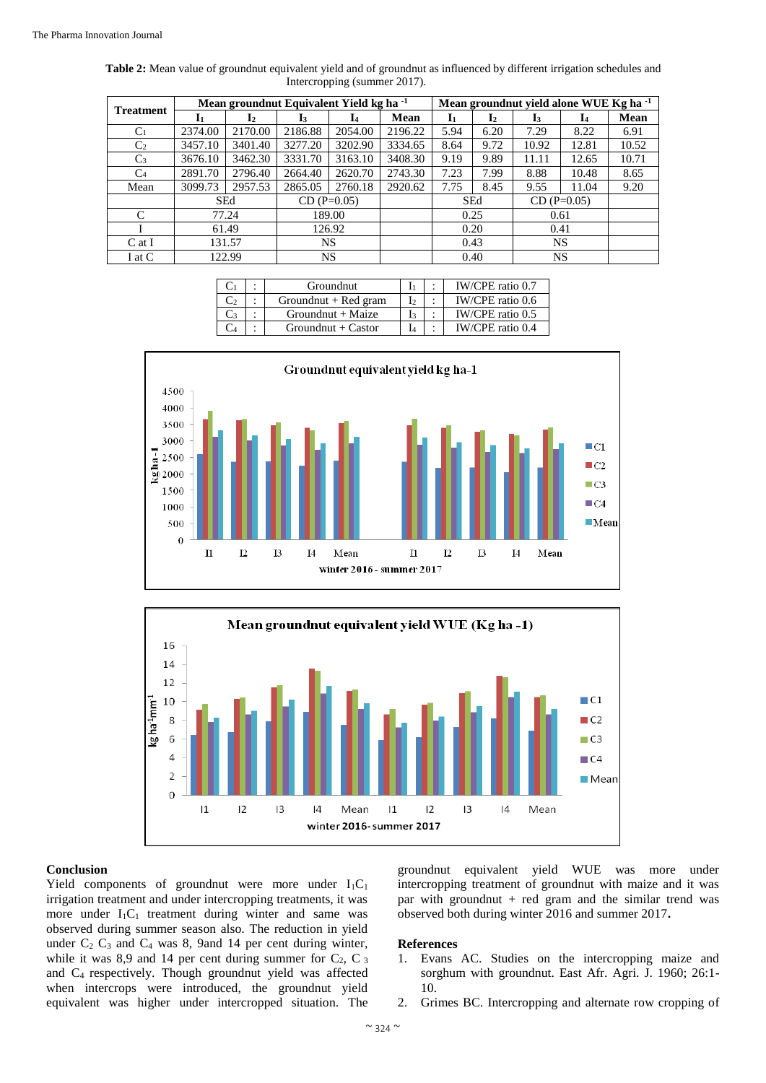| <b>Treatment</b> | Mean groundnut Equivalent Yield kg ha <sup>-1</sup> |                |               |              |             |              | Mean groundnut yield alone WUE Kg ha <sup>-1</sup> |               |       |             |  |
|------------------|-----------------------------------------------------|----------------|---------------|--------------|-------------|--------------|----------------------------------------------------|---------------|-------|-------------|--|
|                  | -I1                                                 | $\mathbf{I}_2$ | I٦            | $\mathbf{I}$ | <b>Mean</b> | $\mathbf{I}$ | $\mathbf{I}_2$                                     | l3            | I4    | <b>Mean</b> |  |
| $C_1$            | 2374.00                                             | 2170.00        | 2186.88       | 2054.00      | 2196.22     | 5.94         | 6.20                                               | 7.29          | 8.22  | 6.91        |  |
| C <sub>2</sub>   | 3457.10<br>3401.40                                  |                | 3277.20       | 3202.90      | 3334.65     | 8.64         | 9.72                                               | 10.92         | 12.81 | 10.52       |  |
| $C_3$            | 3676.10                                             | 3462.30        | 3331.70       | 3163.10      | 3408.30     | 9.19         | 9.89                                               | 11.11         | 12.65 | 10.71       |  |
| C <sub>4</sub>   | 2891.70                                             | 2796.40        | 2664.40       | 2620.70      | 2743.30     | 7.23         | 7.99                                               | 8.88          | 10.48 | 8.65        |  |
| Mean             | 3099.73                                             | 2957.53        | 2865.05       | 2760.18      | 2920.62     | 7.75         | 8.45                                               | 9.55          | 11.04 | 9.20        |  |
|                  |                                                     | <b>SEd</b>     | $CD (P=0.05)$ |              |             | <b>SEd</b>   |                                                    | $CD (P=0.05)$ |       |             |  |
| C                | 77.24                                               |                | 189.00        |              |             | 0.25         |                                                    | 0.61          |       |             |  |
|                  | 61.49                                               |                | 126.92        |              |             | 0.20         |                                                    | 0.41          |       |             |  |
| $C$ at I         | 131.57                                              |                | <b>NS</b>     |              |             | 0.43         |                                                    | NS            |       |             |  |
| I at C           | 122.99                                              |                | NS            |              |             | 0.40         |                                                    | NS            |       |             |  |

| Table 2: Mean value of groundnut equivalent yield and of groundnut as influenced by different irrigation schedules and |  |
|------------------------------------------------------------------------------------------------------------------------|--|
| Intercropping (summer 2017).                                                                                           |  |

|  | Groundnut              |    | IW/CPE ratio 0.7 |
|--|------------------------|----|------------------|
|  | Groundnut $+$ Red gram |    | IW/CPE ratio 0.6 |
|  | $Groundnut + Maize$    | I٩ | IW/CPE ratio 0.5 |
|  | $Groundnut + Castor$   |    | IW/CPE ratio 0.4 |





#### **Conclusion**

Yield components of groundnut were more under  $I_1C_1$ irrigation treatment and under intercropping treatments, it was more under  $I_1C_1$  treatment during winter and same was observed during summer season also. The reduction in yield under  $C_2$   $C_3$  and  $C_4$  was 8, 9and 14 per cent during winter, while it was 8,9 and 14 per cent during summer for  $C_2$ ,  $C_3$ and C4 respectively. Though groundnut yield was affected when intercrops were introduced, the groundnut yield equivalent was higher under intercropped situation. The

groundnut equivalent yield WUE was more under intercropping treatment of groundnut with maize and it was par with groundnut  $+$  red gram and the similar trend was observed both during winter 2016 and summer 2017**.**

#### **References**

- 1. Evans AC. Studies on the intercropping maize and sorghum with groundnut. East Afr. Agri. J. 1960; 26:1- 10.
- 2. Grimes BC. Intercropping and alternate row cropping of